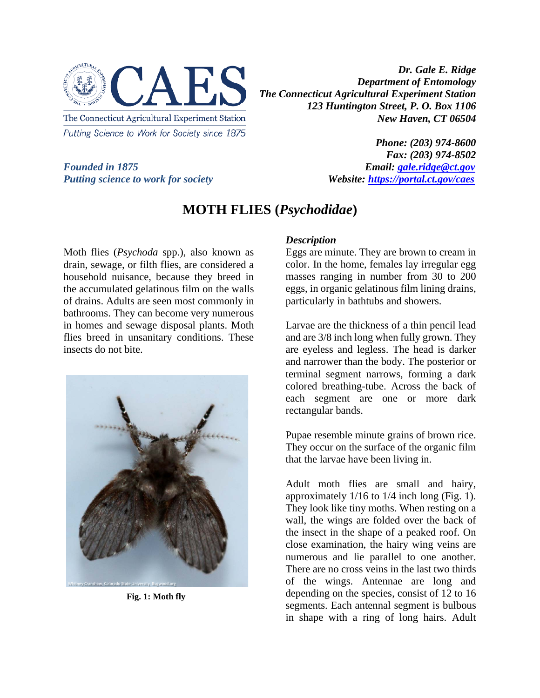

Putting Science to Work for Society since 1875

*Dr. Gale E. Ridge Department of Entomology The Connecticut Agricultural Experiment Station 123 Huntington Street, P. O. Box 1106 New Haven, CT 06504*

*Founded in 1875*<br>*Putting science to work for society*<br>*Website: https://portal.ct.gov/caes Putting science to work for society* 

*Phone: (203) 974-8600 Fax: (203) 974-8502*

## **MOTH FLIES (***Psychodidae***)**

Moth flies (*Psychoda* spp.), also known as drain, sewage, or filth flies, are considered a household nuisance, because they breed in the accumulated gelatinous film on the walls of drains. Adults are seen most commonly in bathrooms. They can become very numerous in homes and sewage disposal plants. Moth flies breed in unsanitary conditions. These insects do not bite.



**Fig. 1: Moth fly**

## *Description*

Eggs are minute. They are brown to cream in color. In the home, females lay irregular egg masses ranging in number from 30 to 200 eggs, in organic gelatinous film lining drains, particularly in bathtubs and showers.

Larvae are the thickness of a thin pencil lead and are 3/8 inch long when fully grown. They are eyeless and legless. The head is darker and narrower than the body. The posterior or terminal segment narrows, forming a dark colored breathing-tube. Across the back of each segment are one or more dark rectangular bands.

Pupae resemble minute grains of brown rice. They occur on the surface of the organic film that the larvae have been living in.

Adult moth flies are small and hairy, approximately 1/16 to 1/4 inch long (Fig. 1). They look like tiny moths. When resting on a wall, the wings are folded over the back of the insect in the shape of a peaked roof. On close examination, the hairy wing veins are numerous and lie parallel to one another. There are no cross veins in the last two thirds of the wings. Antennae are long and depending on the species, consist of 12 to 16 segments. Each antennal segment is bulbous in shape with a ring of long hairs. Adult